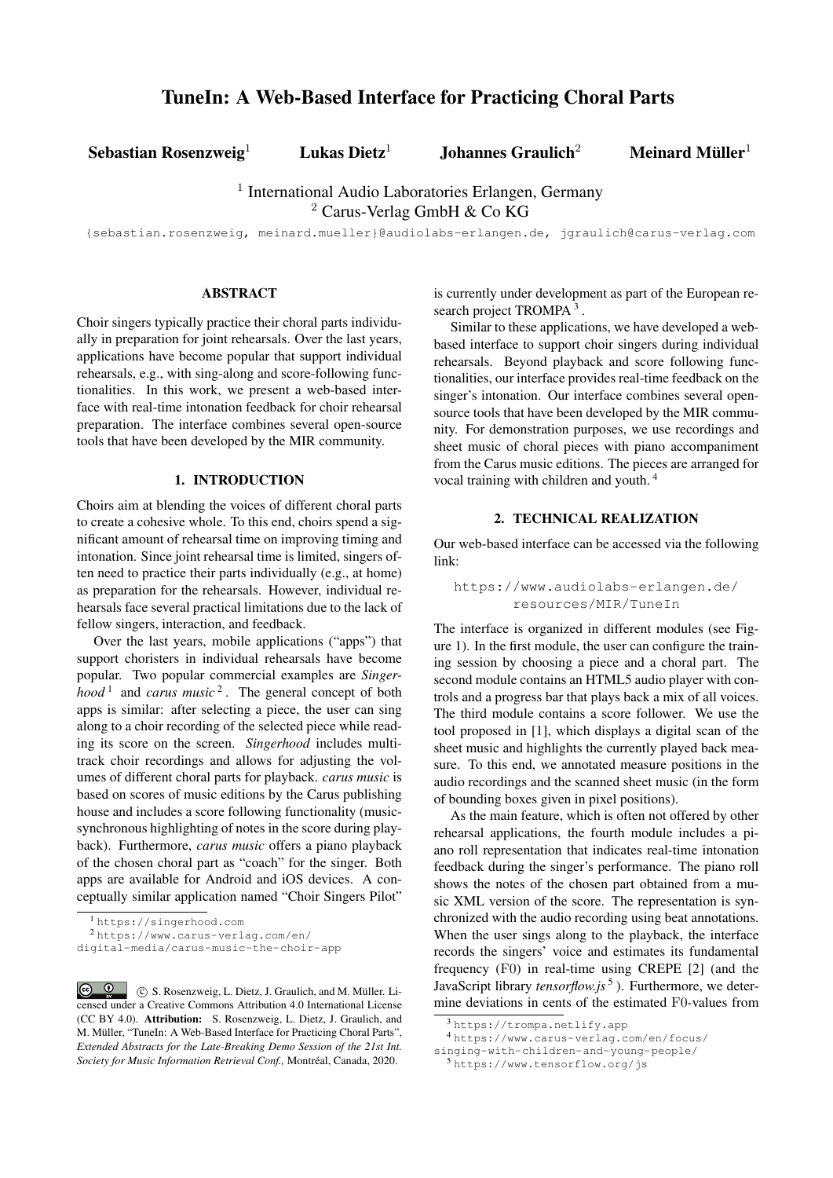Sebastian Rosenzweig<sup>1</sup> Lukas Dietz<sup>1</sup> Johannes Graulich<sup>2</sup> Meinard Müller<sup>1</sup>

<sup>1</sup> International Audio Laboratories Erlangen, Germany

<sup>2</sup> Carus-Verlag GmbH & Co KG

{sebastian.rosenzweig, meinard.mueller}@audiolabs-erlangen.de, jgraulich@carus-verlag.com

### ABSTRACT

Choir singers typically practice their choral parts individually in preparation for joint rehearsals. Over the last years, applications have become popular that support individual rehearsals, e.g., with sing-along and score-following functionalities. In this work, we present a web-based interface with real-time intonation feedback for choir rehearsal preparation. The interface combines several open-source tools that have been developed by the MIR community.

### 1. INTRODUCTION

Choirs aim at blending the voices of different choral parts to create a cohesive whole. To this end, choirs spend a significant amount of rehearsal time on improving timing and intonation. Since joint rehearsal time is limited, singers often need to practice their parts individually (e.g., at home) as preparation for the rehearsals. However, individual rehearsals face several practical limitations due to the lack of fellow singers, interaction, and feedback.

Over the last years, mobile applications ("apps") that support choristers in individual rehearsals have become popular. Two popular commercial examples are *Singerhood*<sup>[1](#page-0-0)</sup> and *carus music*<sup>[2](#page-0-1)</sup>. The general concept of both apps is similar: after selecting a piece, the user can sing along to a choir recording of the selected piece while reading its score on the screen. *Singerhood* includes multitrack choir recordings and allows for adjusting the volumes of different choral parts for playback. *carus music* is based on scores of music editions by the Carus publishing house and includes a score following functionality (musicsynchronous highlighting of notes in the score during playback). Furthermore, *carus music* offers a piano playback of the chosen choral part as "coach" for the singer. Both apps are available for Android and iOS devices. A conceptually similar application named "Choir Singers Pilot"

<span id="page-0-1"></span><sup>2</sup> [https://www.carus-verlag.com/en/](https://www.carus-verlag.com/en/digital-media/carus-music-the-choir-app)

is currently under development as part of the European re-search project TROMPA<sup>[3](#page-0-2)</sup>.

Similar to these applications, we have developed a webbased interface to support choir singers during individual rehearsals. Beyond playback and score following functionalities, our interface provides real-time feedback on the singer's intonation. Our interface combines several opensource tools that have been developed by the MIR community. For demonstration purposes, we use recordings and sheet music of choral pieces with piano accompaniment from the Carus music editions. The pieces are arranged for vocal training with children and youth. [4](#page-0-3)

## 2. TECHNICAL REALIZATION

Our web-based interface can be accessed via the following link:

## [https://www.audiolabs-erlangen.de/](https://www.audiolabs-erlangen.de/resources/MIR/TuneIn) [resources/MIR/TuneIn](https://www.audiolabs-erlangen.de/resources/MIR/TuneIn)

The interface is organized in different modules (see Figure [1\)](#page-1-0). In the first module, the user can configure the training session by choosing a piece and a choral part. The second module contains an HTML5 audio player with controls and a progress bar that plays back a mix of all voices. The third module contains a score follower. We use the tool proposed in [\[1\]](#page-2-0), which displays a digital scan of the sheet music and highlights the currently played back measure. To this end, we annotated measure positions in the audio recordings and the scanned sheet music (in the form of bounding boxes given in pixel positions).

As the main feature, which is often not offered by other rehearsal applications, the fourth module includes a piano roll representation that indicates real-time intonation feedback during the singer's performance. The piano roll shows the notes of the chosen part obtained from a music XML version of the score. The representation is synchronized with the audio recording using beat annotations. When the user sings along to the playback, the interface records the singers' voice and estimates its fundamental frequency (F0) in real-time using CREPE [\[2\]](#page-2-1) (and the JavaScript library *tensorflow.js* [5](#page-0-4) ). Furthermore, we determine deviations in cents of the estimated F0-values from

<span id="page-0-0"></span><sup>1</sup> <https://singerhood.com>

[digital-media/carus-music-the-choir-app](https://www.carus-verlag.com/en/digital-media/carus-music-the-choir-app)

**Q** C S. Rosenzweig, L. Dietz, J. Graulich, and M. Müller. Li- $\odot$ censed under a Creative Commons Attribution 4.0 International License (CC BY 4.0). Attribution: S. Rosenzweig, L. Dietz, J. Graulich, and M. Müller, "TuneIn: A Web-Based Interface for Practicing Choral Parts", *Extended Abstracts for the Late-Breaking Demo Session of the 21st Int. Society for Music Information Retrieval Conf.,* Montréal, Canada, 2020.

<span id="page-0-3"></span><span id="page-0-2"></span><sup>3</sup> <https://trompa.netlify.app>

<sup>4</sup> [https://www.carus-verlag.com/en/focus/](https://www.carus-verlag.com/en/focus/singing-with-children-and-young-people/)

[singing-with-children-and-young-people/](https://www.carus-verlag.com/en/focus/singing-with-children-and-young-people/)

<span id="page-0-4"></span><sup>5</sup> <https://www.tensorflow.org/js>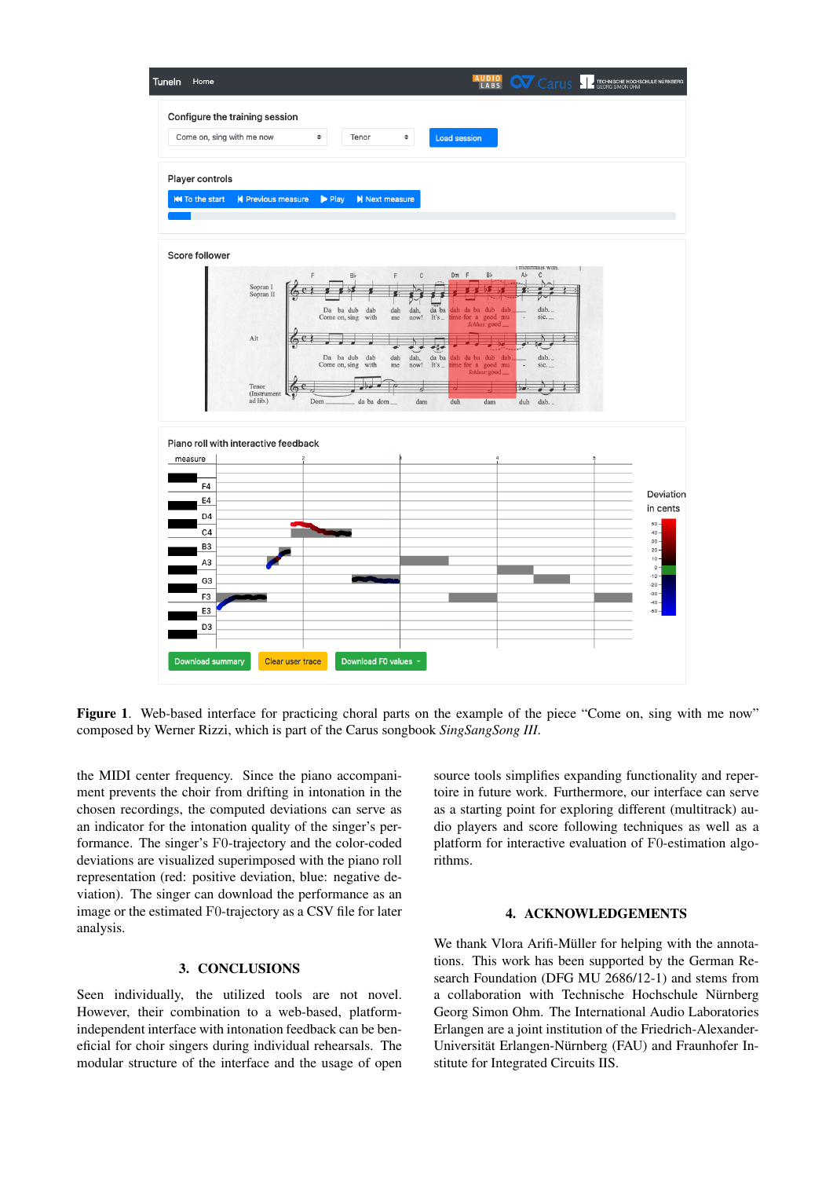

<span id="page-1-0"></span>Figure 1. Web-based interface for practicing choral parts on the example of the piece "Come on, sing with me now" composed by Werner Rizzi, which is part of the Carus songbook *SingSangSong III*.

the MIDI center frequency. Since the piano accompaniment prevents the choir from drifting in intonation in the chosen recordings, the computed deviations can serve as an indicator for the intonation quality of the singer's performance. The singer's F0-trajectory and the color-coded deviations are visualized superimposed with the piano roll representation (red: positive deviation, blue: negative deviation). The singer can download the performance as an image or the estimated F0-trajectory as a CSV file for later analysis.

### 3. CONCLUSIONS

Seen individually, the utilized tools are not novel. However, their combination to a web-based, platformindependent interface with intonation feedback can be beneficial for choir singers during individual rehearsals. The modular structure of the interface and the usage of open source tools simplifies expanding functionality and repertoire in future work. Furthermore, our interface can serve as a starting point for exploring different (multitrack) audio players and score following techniques as well as a platform for interactive evaluation of F0-estimation algorithms.

## 4. ACKNOWLEDGEMENTS

We thank Vlora Arifi-Müller for helping with the annotations. This work has been supported by the German Research Foundation (DFG MU 2686/12-1) and stems from a collaboration with Technische Hochschule Nürnberg Georg Simon Ohm. The International Audio Laboratories Erlangen are a joint institution of the Friedrich-Alexander-Universität Erlangen-Nürnberg (FAU) and Fraunhofer Institute for Integrated Circuits IIS.